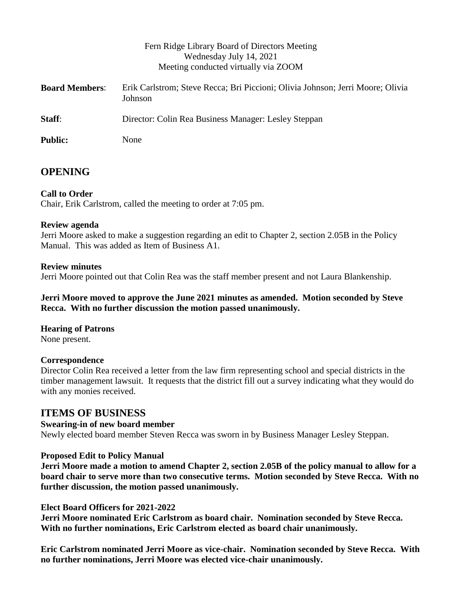| Fern Ridge Library Board of Directors Meeting<br>Wednesday July 14, 2021<br>Meeting conducted virtually via ZOOM |
|------------------------------------------------------------------------------------------------------------------|
| Erik Carlstrom; Steve Recca; Bri Piccioni; Olivia Johnson; Jerri Moore; Olivia<br>Johnson                        |
| Director: Colin Rea Business Manager: Lesley Steppan                                                             |
| None                                                                                                             |
|                                                                                                                  |

# **OPENING**

## **Call to Order**

Chair, Erik Carlstrom, called the meeting to order at 7:05 pm.

#### **Review agenda**

Jerri Moore asked to make a suggestion regarding an edit to Chapter 2, section 2.05B in the Policy Manual. This was added as Item of Business A1.

#### **Review minutes**

Jerri Moore pointed out that Colin Rea was the staff member present and not Laura Blankenship.

**Jerri Moore moved to approve the June 2021 minutes as amended. Motion seconded by Steve Recca. With no further discussion the motion passed unanimously.**

## **Hearing of Patrons**

None present.

## **Correspondence**

Director Colin Rea received a letter from the law firm representing school and special districts in the timber management lawsuit. It requests that the district fill out a survey indicating what they would do with any monies received.

## **ITEMS OF BUSINESS**

## **Swearing-in of new board member**

Newly elected board member Steven Recca was sworn in by Business Manager Lesley Steppan.

## **Proposed Edit to Policy Manual**

**Jerri Moore made a motion to amend Chapter 2, section 2.05B of the policy manual to allow for a board chair to serve more than two consecutive terms. Motion seconded by Steve Recca. With no further discussion, the motion passed unanimously.**

#### **Elect Board Officers for 2021-2022**

**Jerri Moore nominated Eric Carlstrom as board chair. Nomination seconded by Steve Recca. With no further nominations, Eric Carlstrom elected as board chair unanimously.**

**Eric Carlstrom nominated Jerri Moore as vice-chair. Nomination seconded by Steve Recca. With no further nominations, Jerri Moore was elected vice-chair unanimously.**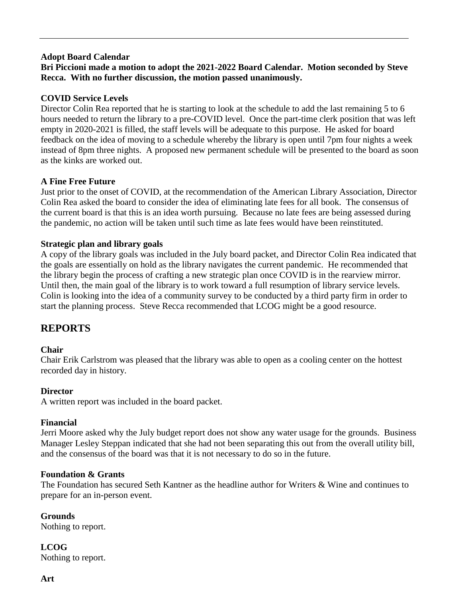#### **Adopt Board Calendar**

## **Bri Piccioni made a motion to adopt the 2021-2022 Board Calendar. Motion seconded by Steve Recca. With no further discussion, the motion passed unanimously.**

#### **COVID Service Levels**

Director Colin Rea reported that he is starting to look at the schedule to add the last remaining 5 to 6 hours needed to return the library to a pre-COVID level. Once the part-time clerk position that was left empty in 2020-2021 is filled, the staff levels will be adequate to this purpose. He asked for board feedback on the idea of moving to a schedule whereby the library is open until 7pm four nights a week instead of 8pm three nights. A proposed new permanent schedule will be presented to the board as soon as the kinks are worked out.

#### **A Fine Free Future**

Just prior to the onset of COVID, at the recommendation of the American Library Association, Director Colin Rea asked the board to consider the idea of eliminating late fees for all book. The consensus of the current board is that this is an idea worth pursuing. Because no late fees are being assessed during the pandemic, no action will be taken until such time as late fees would have been reinstituted.

#### **Strategic plan and library goals**

A copy of the library goals was included in the July board packet, and Director Colin Rea indicated that the goals are essentially on hold as the library navigates the current pandemic. He recommended that the library begin the process of crafting a new strategic plan once COVID is in the rearview mirror. Until then, the main goal of the library is to work toward a full resumption of library service levels. Colin is looking into the idea of a community survey to be conducted by a third party firm in order to start the planning process. Steve Recca recommended that LCOG might be a good resource.

# **REPORTS**

#### **Chair**

Chair Erik Carlstrom was pleased that the library was able to open as a cooling center on the hottest recorded day in history.

#### **Director**

A written report was included in the board packet.

#### **Financial**

Jerri Moore asked why the July budget report does not show any water usage for the grounds. Business Manager Lesley Steppan indicated that she had not been separating this out from the overall utility bill, and the consensus of the board was that it is not necessary to do so in the future.

#### **Foundation & Grants**

The Foundation has secured Seth Kantner as the headline author for Writers & Wine and continues to prepare for an in-person event.

**Grounds**

Nothing to report.

**LCOG** Nothing to report.